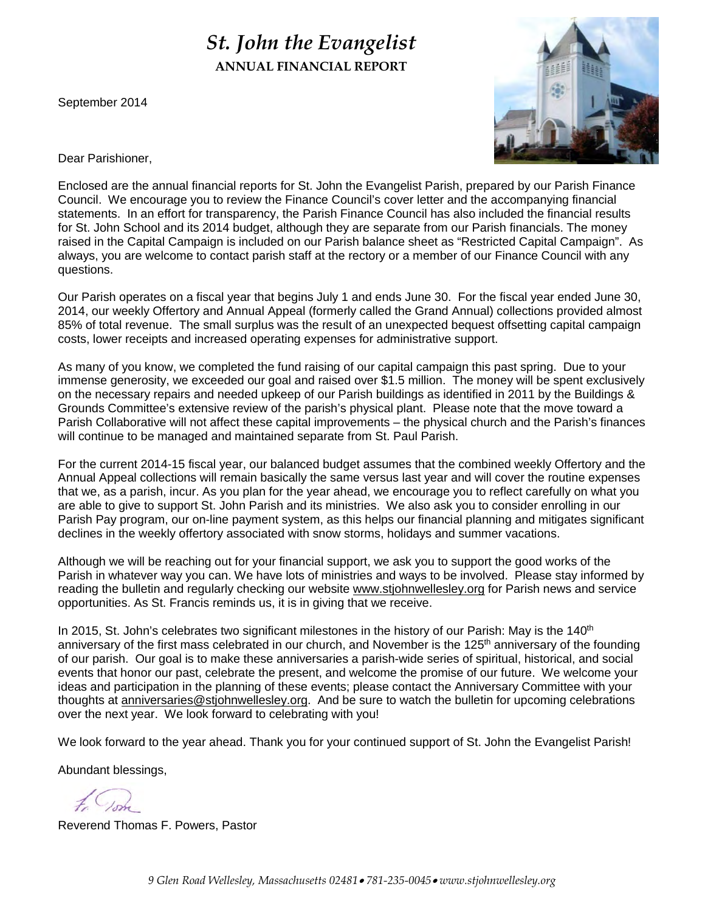# *St. John the Evangelist* **ANNUAL FINANCIAL REPORT**

September 2014



Dear Parishioner,

Enclosed are the annual financial reports for St. John the Evangelist Parish, prepared by our Parish Finance Council. We encourage you to review the Finance Council's cover letter and the accompanying financial statements. In an effort for transparency, the Parish Finance Council has also included the financial results for St. John School and its 2014 budget, although they are separate from our Parish financials. The money raised in the Capital Campaign is included on our Parish balance sheet as "Restricted Capital Campaign". As always, you are welcome to contact parish staff at the rectory or a member of our Finance Council with any questions.

Our Parish operates on a fiscal year that begins July 1 and ends June 30. For the fiscal year ended June 30, 2014, our weekly Offertory and Annual Appeal (formerly called the Grand Annual) collections provided almost 85% of total revenue. The small surplus was the result of an unexpected bequest offsetting capital campaign costs, lower receipts and increased operating expenses for administrative support.

As many of you know, we completed the fund raising of our capital campaign this past spring. Due to your immense generosity, we exceeded our goal and raised over \$1.5 million. The money will be spent exclusively on the necessary repairs and needed upkeep of our Parish buildings as identified in 2011 by the Buildings & Grounds Committee's extensive review of the parish's physical plant. Please note that the move toward a Parish Collaborative will not affect these capital improvements – the physical church and the Parish's finances will continue to be managed and maintained separate from St. Paul Parish.

For the current 2014-15 fiscal year, our balanced budget assumes that the combined weekly Offertory and the Annual Appeal collections will remain basically the same versus last year and will cover the routine expenses that we, as a parish, incur. As you plan for the year ahead, we encourage you to reflect carefully on what you are able to give to support St. John Parish and its ministries. We also ask you to consider enrolling in our Parish Pay program, our on-line payment system, as this helps our financial planning and mitigates significant declines in the weekly offertory associated with snow storms, holidays and summer vacations.

Although we will be reaching out for your financial support, we ask you to support the good works of the Parish in whatever way you can. We have lots of ministries and ways to be involved. Please stay informed by reading the bulletin and regularly checking our website www.stjohnwellesley.org for Parish news and service opportunities. As St. Francis reminds us, it is in giving that we receive.

In 2015, St. John's celebrates two significant milestones in the history of our Parish: May is the 140<sup>th</sup> anniversary of the first mass celebrated in our church, and November is the 125<sup>th</sup> anniversary of the founding of our parish. Our goal is to make these anniversaries a parish-wide series of spiritual, historical, and social events that honor our past, celebrate the present, and welcome the promise of our future. We welcome your ideas and participation in the planning of these events; please contact the Anniversary Committee with your thoughts at anniversaries@stjohnwellesley.org. And be sure to watch the bulletin for upcoming celebrations over the next year. We look forward to celebrating with you!

We look forward to the year ahead. Thank you for your continued support of St. John the Evangelist Parish!

Abundant blessings,

Reverend Thomas F. Powers, Pastor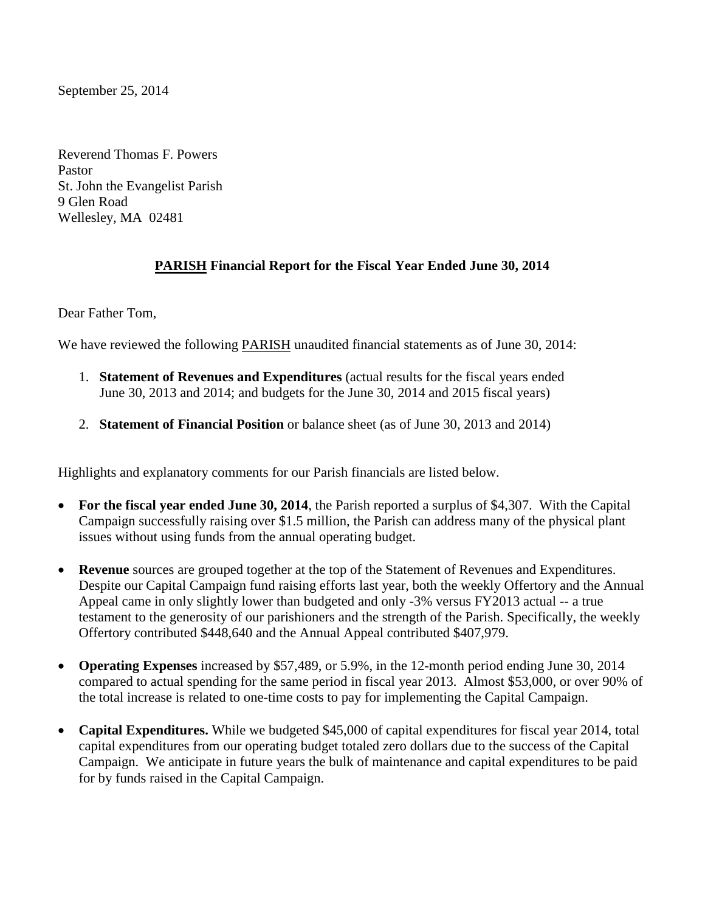September 25, 2014

Reverend Thomas F. Powers Pastor St. John the Evangelist Parish 9 Glen Road Wellesley, MA 02481

# **PARISH Financial Report for the Fiscal Year Ended June 30, 2014**

Dear Father Tom,

We have reviewed the following **PARISH** unaudited financial statements as of June 30, 2014:

- 1. **Statement of Revenues and Expenditures** (actual results for the fiscal years ended June 30, 2013 and 2014; and budgets for the June 30, 2014 and 2015 fiscal years)
- 2. **Statement of Financial Position** or balance sheet (as of June 30, 2013 and 2014)

Highlights and explanatory comments for our Parish financials are listed below.

- **For the fiscal year ended June 30, 2014**, the Parish reported a surplus of \$4,307. With the Capital Campaign successfully raising over \$1.5 million, the Parish can address many of the physical plant issues without using funds from the annual operating budget.
- **Revenue** sources are grouped together at the top of the Statement of Revenues and Expenditures. Despite our Capital Campaign fund raising efforts last year, both the weekly Offertory and the Annual Appeal came in only slightly lower than budgeted and only -3% versus FY2013 actual -- a true testament to the generosity of our parishioners and the strength of the Parish. Specifically, the weekly Offertory contributed \$448,640 and the Annual Appeal contributed \$407,979.
- **Operating Expenses** increased by \$57,489, or 5.9%, in the 12-month period ending June 30, 2014 compared to actual spending for the same period in fiscal year 2013. Almost \$53,000, or over 90% of the total increase is related to one-time costs to pay for implementing the Capital Campaign.
- **Capital Expenditures.** While we budgeted \$45,000 of capital expenditures for fiscal year 2014, total capital expenditures from our operating budget totaled zero dollars due to the success of the Capital Campaign. We anticipate in future years the bulk of maintenance and capital expenditures to be paid for by funds raised in the Capital Campaign.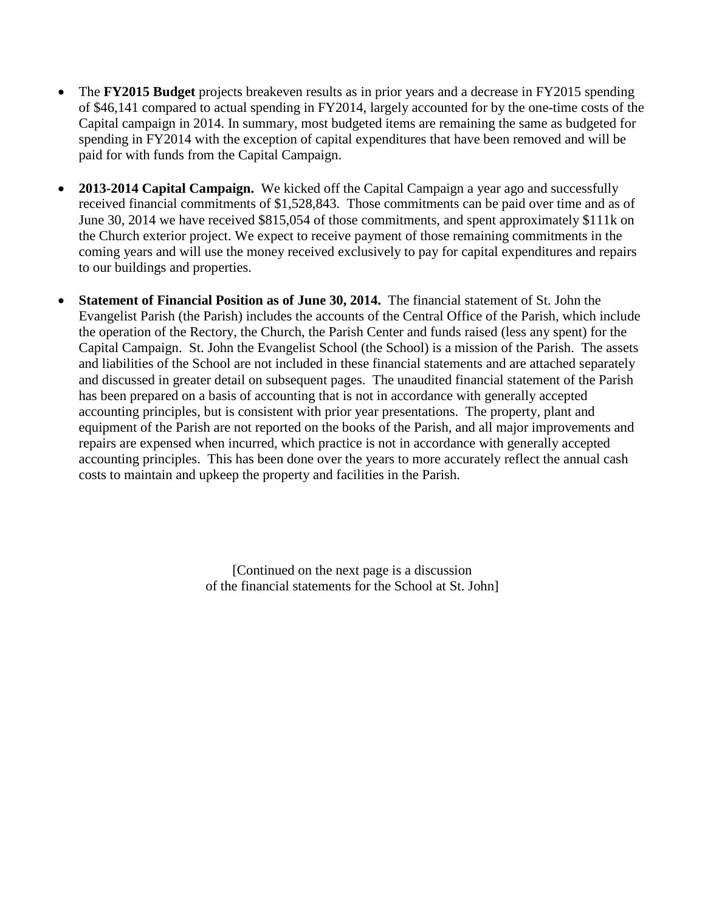- The **FY2015 Budget** projects breakeven results as in prior years and a decrease in FY2015 spending of \$46,141 compared to actual spending in FY2014, largely accounted for by the one-time costs of the Capital campaign in 2014. In summary, most budgeted items are remaining the same as budgeted for spending in FY2014 with the exception of capital expenditures that have been removed and will be paid for with funds from the Capital Campaign.
- **2013-2014 Capital Campaign.** We kicked off the Capital Campaign a year ago and successfully received financial commitments of \$1,528,843. Those commitments can be paid over time and as of June 30, 2014 we have received \$815,054 of those commitments, and spent approximately \$111k on the Church exterior project. We expect to receive payment of those remaining commitments in the coming years and will use the money received exclusively to pay for capital expenditures and repairs to our buildings and properties.
- **Statement of Financial Position as of June 30, 2014.** The financial statement of St. John the Evangelist Parish (the Parish) includes the accounts of the Central Office of the Parish, which include the operation of the Rectory, the Church, the Parish Center and funds raised (less any spent) for the Capital Campaign. St. John the Evangelist School (the School) is a mission of the Parish. The assets and liabilities of the School are not included in these financial statements and are attached separately and discussed in greater detail on subsequent pages. The unaudited financial statement of the Parish has been prepared on a basis of accounting that is not in accordance with generally accepted accounting principles, but is consistent with prior year presentations. The property, plant and equipment of the Parish are not reported on the books of the Parish, and all major improvements and repairs are expensed when incurred, which practice is not in accordance with generally accepted accounting principles. This has been done over the years to more accurately reflect the annual cash costs to maintain and upkeep the property and facilities in the Parish.

[Continued on the next page is a discussion of the financial statements for the School at St. John]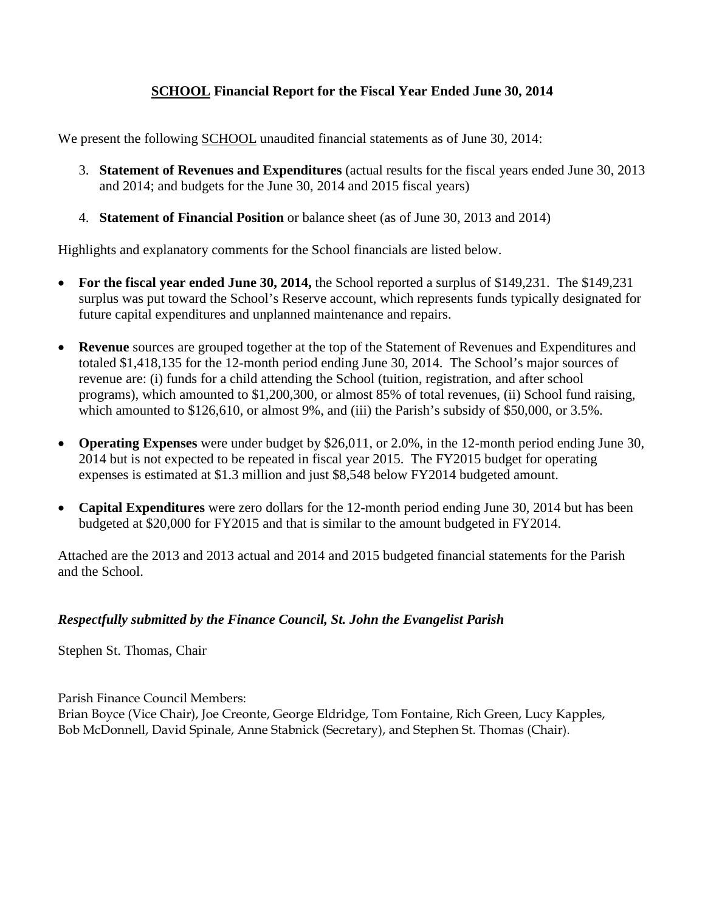# **SCHOOL Financial Report for the Fiscal Year Ended June 30, 2014**

We present the following **SCHOOL** unaudited financial statements as of June 30, 2014:

- 3. **Statement of Revenues and Expenditures** (actual results for the fiscal years ended June 30, 2013 and 2014; and budgets for the June 30, 2014 and 2015 fiscal years)
- 4. **Statement of Financial Position** or balance sheet (as of June 30, 2013 and 2014)

Highlights and explanatory comments for the School financials are listed below.

- **For the fiscal year ended June 30, 2014,** the School reported a surplus of \$149,231. The \$149,231 surplus was put toward the School's Reserve account, which represents funds typically designated for future capital expenditures and unplanned maintenance and repairs.
- **Revenue** sources are grouped together at the top of the Statement of Revenues and Expenditures and totaled \$1,418,135 for the 12-month period ending June 30, 2014. The School's major sources of revenue are: (i) funds for a child attending the School (tuition, registration, and after school programs), which amounted to \$1,200,300, or almost 85% of total revenues, (ii) School fund raising, which amounted to \$126,610, or almost 9%, and (iii) the Parish's subsidy of \$50,000, or 3.5%.
- **Operating Expenses** were under budget by \$26,011, or 2.0%, in the 12-month period ending June 30, 2014 but is not expected to be repeated in fiscal year 2015. The FY2015 budget for operating expenses is estimated at \$1.3 million and just \$8,548 below FY2014 budgeted amount.
- **Capital Expenditures** were zero dollars for the 12-month period ending June 30, 2014 but has been budgeted at \$20,000 for FY2015 and that is similar to the amount budgeted in FY2014.

Attached are the 2013 and 2013 actual and 2014 and 2015 budgeted financial statements for the Parish and the School.

### *Respectfully submitted by the Finance Council, St. John the Evangelist Parish*

Stephen St. Thomas, Chair

Parish Finance Council Members:

Brian Boyce (Vice Chair), Joe Creonte, George Eldridge, Tom Fontaine, Rich Green, Lucy Kapples, Bob McDonnell, David Spinale, Anne Stabnick (Secretary), and Stephen St. Thomas (Chair).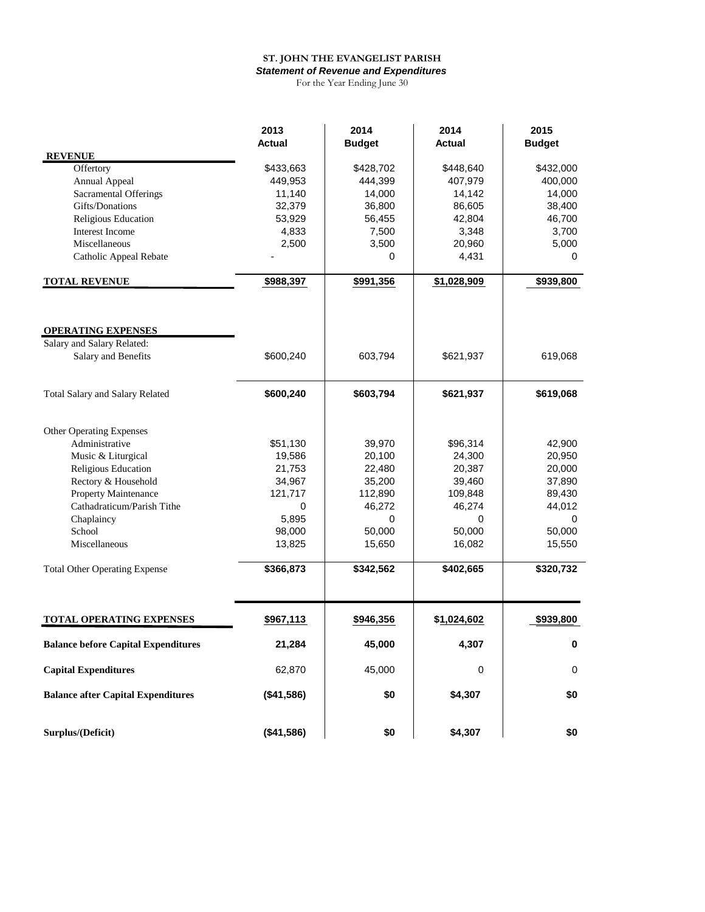#### **ST. JOHN THE EVANGELIST PARISH** *Statement of Revenue and Expenditures*

For the Year Ending June 30

|                                            | 2013       | 2014          | 2014        | 2015          |
|--------------------------------------------|------------|---------------|-------------|---------------|
|                                            | Actual     | <b>Budget</b> | Actual      | <b>Budget</b> |
| <b>REVENUE</b>                             |            |               |             |               |
| Offertory                                  | \$433,663  | \$428,702     | \$448,640   | \$432,000     |
| Annual Appeal                              | 449,953    | 444,399       | 407,979     | 400,000       |
| <b>Sacramental Offerings</b>               | 11,140     | 14,000        | 14,142      | 14,000        |
| Gifts/Donations                            | 32,379     | 36,800        | 86,605      | 38,400        |
| Religious Education                        | 53,929     | 56,455        | 42,804      | 46,700        |
| <b>Interest Income</b>                     | 4,833      | 7,500         | 3,348       | 3,700         |
| Miscellaneous                              | 2,500      | 3,500         | 20,960      | 5,000         |
| Catholic Appeal Rebate                     |            | 0             | 4,431       | 0             |
| <b>TOTAL REVENUE</b>                       | \$988,397  | \$991,356     | \$1,028,909 | \$939,800     |
|                                            |            |               |             |               |
| <b>OPERATING EXPENSES</b>                  |            |               |             |               |
| Salary and Salary Related:                 |            |               |             |               |
| Salary and Benefits                        | \$600,240  | 603,794       | \$621,937   | 619,068       |
| Total Salary and Salary Related            | \$600,240  | \$603,794     | \$621,937   | \$619,068     |
|                                            |            |               |             |               |
| Other Operating Expenses                   |            |               |             |               |
| Administrative                             | \$51,130   | 39,970        | \$96,314    | 42,900        |
| Music & Liturgical                         | 19,586     | 20,100        | 24,300      | 20,950        |
| Religious Education                        | 21,753     | 22,480        | 20,387      | 20,000        |
| Rectory & Household                        | 34,967     | 35,200        | 39,460      | 37,890        |
| Property Maintenance                       | 121,717    | 112,890       | 109,848     | 89,430        |
| Cathadraticum/Parish Tithe                 | 0          | 46,272        | 46,274      | 44,012        |
| Chaplaincy                                 | 5,895      | 0             | 0           | 0             |
| School                                     | 98,000     | 50,000        | 50,000      | 50,000        |
| Miscellaneous                              | 13,825     | 15,650        | 16,082      | 15,550        |
| <b>Total Other Operating Expense</b>       | \$366,873  | \$342,562     | \$402,665   | \$320,732     |
| TOTAL OPERATING EXPENSES                   | \$967,113  | \$946,356     | \$1,024,602 | \$939,800     |
| <b>Balance before Capital Expenditures</b> | 21,284     | 45,000        | 4,307       | $\bf{0}$      |
| <b>Capital Expenditures</b>                | 62,870     | 45,000        | $\pmb{0}$   | $\mathsf 0$   |
|                                            |            |               |             |               |
| <b>Balance after Capital Expenditures</b>  | (\$41,586) | \$0           | \$4,307     | \$0           |
| Surplus/(Deficit)                          | (\$41,586) | \$0           | \$4,307     | \$0           |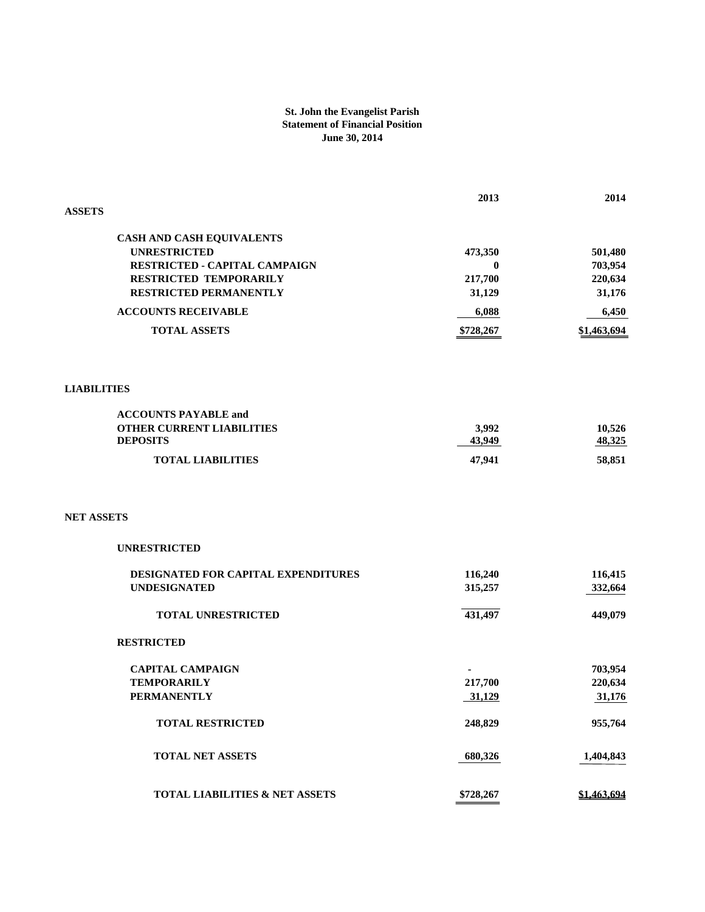#### **St. John the Evangelist Parish Statement of Financial Position June 30, 2014**

|                                           | 2013      | 2014        |
|-------------------------------------------|-----------|-------------|
| <b>ASSETS</b>                             |           |             |
|                                           |           |             |
| CASH AND CASH EQUIVALENTS                 |           |             |
| <b>UNRESTRICTED</b>                       | 473,350   | 501,480     |
| RESTRICTED - CAPITAL CAMPAIGN             | $\bf{0}$  | 703,954     |
| RESTRICTED TEMPORARILY                    | 217,700   | 220,634     |
| RESTRICTED PERMANENTLY                    | 31,129    | 31,176      |
| <b>ACCOUNTS RECEIVABLE</b>                | 6,088     | 6,450       |
| <b>TOTAL ASSETS</b>                       | \$728,267 | \$1,463,694 |
|                                           |           |             |
| <b>LIABILITIES</b>                        |           |             |
| <b>ACCOUNTS PAYABLE and</b>               |           |             |
| <b>OTHER CURRENT LIABILITIES</b>          | 3,992     | 10,526      |
| <b>DEPOSITS</b>                           | 43,949    | 48,325      |
| <b>TOTAL LIABILITIES</b>                  | 47,941    | 58,851      |
|                                           |           |             |
| <b>NET ASSETS</b>                         |           |             |
| <b>UNRESTRICTED</b>                       |           |             |
| DESIGNATED FOR CAPITAL EXPENDITURES       | 116,240   | 116,415     |
| <b>UNDESIGNATED</b>                       | 315,257   | 332,664     |
|                                           |           |             |
| <b>TOTAL UNRESTRICTED</b>                 | 431,497   | 449,079     |
| <b>RESTRICTED</b>                         |           |             |
| <b>CAPITAL CAMPAIGN</b>                   |           | 703,954     |
| <b>TEMPORARILY</b>                        | 217,700   | 220,634     |
| <b>PERMANENTLY</b>                        | 31,129    | 31,176      |
|                                           |           |             |
| <b>TOTAL RESTRICTED</b>                   | 248,829   | 955,764     |
| <b>TOTAL NET ASSETS</b>                   | 680,326   | 1,404,843   |
| <b>TOTAL LIABILITIES &amp; NET ASSETS</b> | \$728,267 | \$1,463,694 |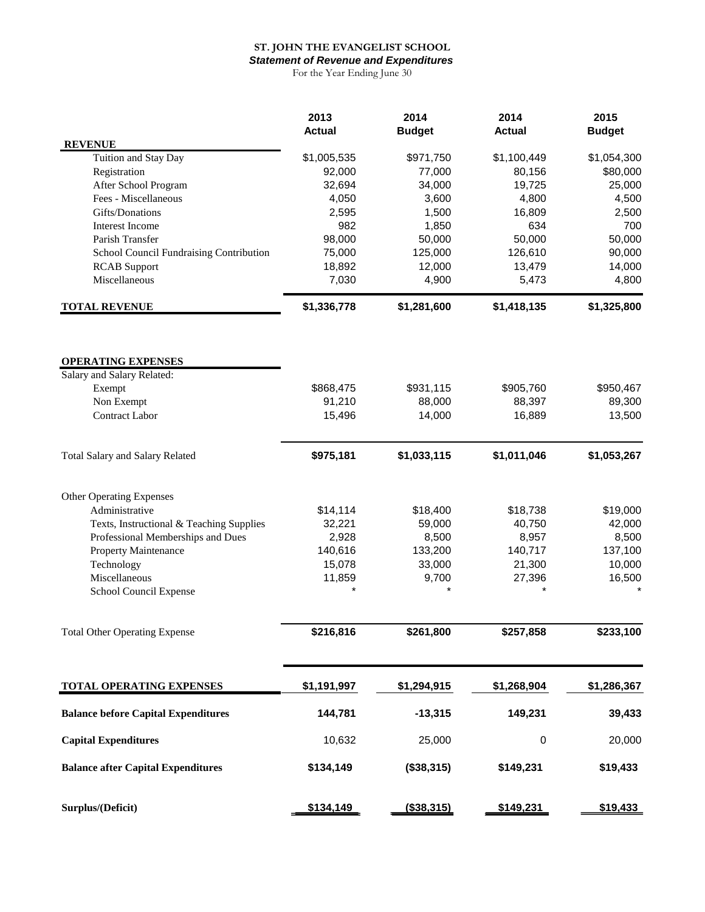### **ST. JOHN THE EVANGELIST SCHOOL**

*Statement of Revenue and Expenditures* For the Year Ending June 30

|                                            | 2013<br><b>Actual</b> | 2014<br><b>Budget</b> | 2014<br><b>Actual</b> | 2015<br><b>Budget</b> |
|--------------------------------------------|-----------------------|-----------------------|-----------------------|-----------------------|
| <b>REVENUE</b>                             |                       |                       |                       |                       |
| Tuition and Stay Day                       | \$1,005,535           | \$971,750             | \$1,100,449           | \$1,054,300           |
| Registration                               | 92,000                | 77,000                | 80,156                | \$80,000              |
| After School Program                       | 32,694                | 34,000                | 19,725                | 25,000                |
| Fees - Miscellaneous<br>Gifts/Donations    | 4,050                 | 3,600<br>1,500        | 4,800<br>16,809       | 4,500                 |
| Interest Income                            | 2,595<br>982          | 1,850                 | 634                   | 2,500<br>700          |
| Parish Transfer                            | 98,000                | 50,000                | 50,000                | 50,000                |
| School Council Fundraising Contribution    | 75,000                | 125,000               | 126,610               | 90,000                |
| <b>RCAB</b> Support                        | 18,892                | 12,000                | 13,479                | 14,000                |
| Miscellaneous                              | 7,030                 | 4,900                 | 5,473                 | 4,800                 |
| <b>TOTAL REVENUE</b>                       | \$1,336,778           | \$1,281,600           | \$1,418,135           | \$1,325,800           |
|                                            |                       |                       |                       |                       |
| <b>OPERATING EXPENSES</b>                  |                       |                       |                       |                       |
| Salary and Salary Related:                 | \$868,475             | \$931,115             | \$905,760             | \$950,467             |
| Exempt<br>Non Exempt                       | 91,210                | 88,000                | 88,397                | 89,300                |
| <b>Contract Labor</b>                      | 15,496                | 14,000                | 16,889                | 13,500                |
|                                            |                       |                       |                       |                       |
| <b>Total Salary and Salary Related</b>     | \$975,181             | \$1,033,115           | \$1,011,046           | \$1,053,267           |
| Other Operating Expenses                   |                       |                       |                       |                       |
| Administrative                             | \$14,114              | \$18,400              | \$18,738              | \$19,000              |
| Texts, Instructional & Teaching Supplies   | 32,221                | 59,000                | 40,750                | 42,000                |
| Professional Memberships and Dues          | 2,928                 | 8,500                 | 8,957                 | 8,500                 |
| Property Maintenance                       | 140,616               | 133,200               | 140,717               | 137,100               |
| Technology                                 | 15,078                | 33,000                | 21,300                | 10,000                |
| Miscellaneous                              | 11,859                | 9,700                 | 27,396                | 16,500                |
| School Council Expense                     |                       |                       |                       |                       |
| <b>Total Other Operating Expense</b>       | \$216,816             | \$261,800             | \$257,858             | \$233,100             |
| <b>TOTAL OPERATING EXPENSES</b>            | \$1,191,997           | \$1,294,915           | \$1,268,904           | \$1,286,367           |
|                                            |                       |                       |                       |                       |
| <b>Balance before Capital Expenditures</b> | 144,781               | $-13,315$             | 149,231               | 39,433                |
| <b>Capital Expenditures</b>                | 10,632                | 25,000                | 0                     | 20,000                |
| <b>Balance after Capital Expenditures</b>  | \$134,149             | (\$38,315)            | \$149,231             | \$19,433              |
| Surplus/(Deficit)                          | \$134,149             | (\$38,315)            | \$149,231             | \$19,433              |